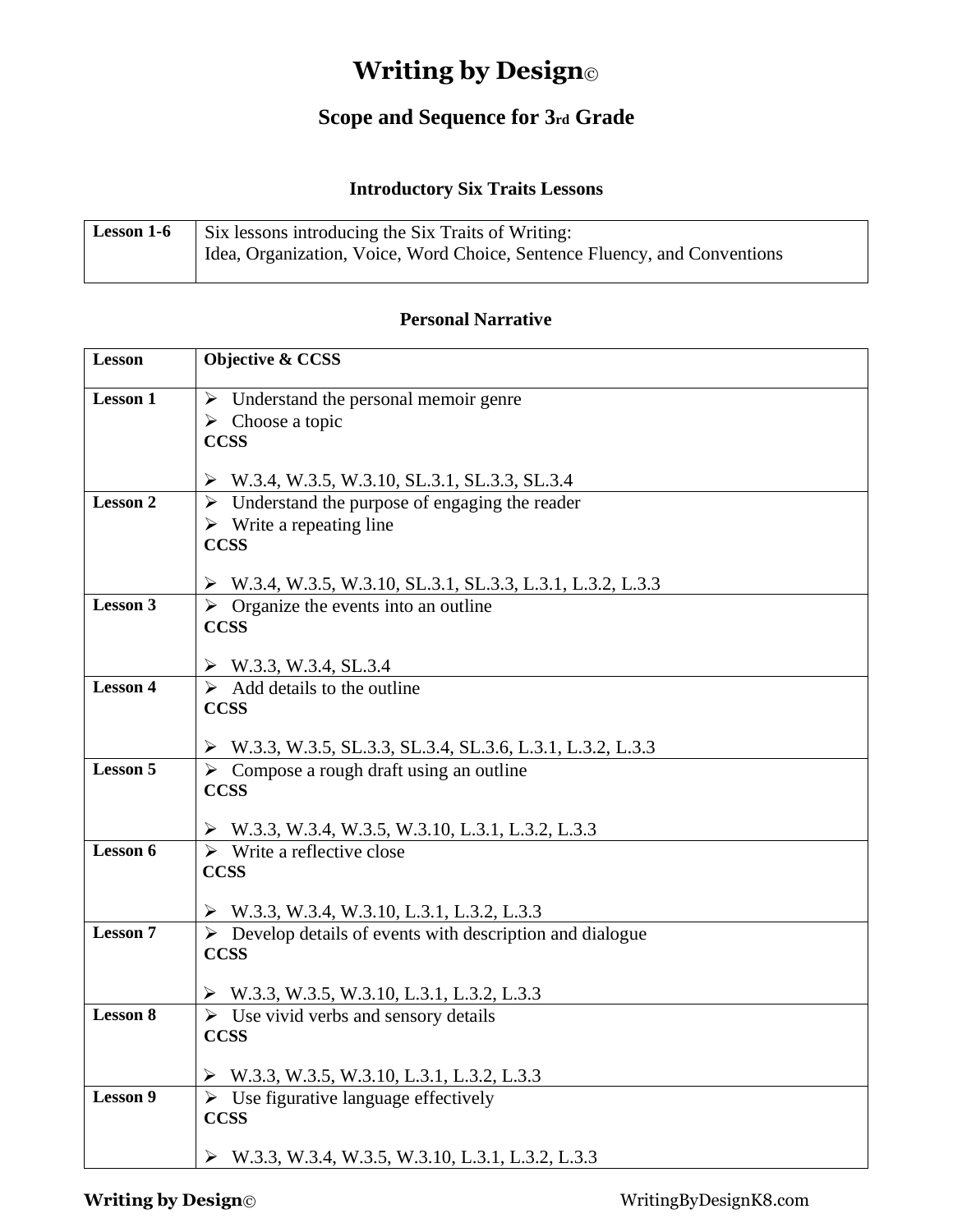# **Writing by Design**©

### **Scope and Sequence for 3rd Grade**

#### **Introductory Six Traits Lessons**

| <b>Lesson 1-6</b> | Six lessons introducing the Six Traits of Writing:                        |
|-------------------|---------------------------------------------------------------------------|
|                   | Idea, Organization, Voice, Word Choice, Sentence Fluency, and Conventions |
|                   |                                                                           |

#### **Personal Narrative**

| <b>Lesson</b>   | <b>Objective &amp; CCSS</b>                                                                               |
|-----------------|-----------------------------------------------------------------------------------------------------------|
| <b>Lesson 1</b> | Understand the personal memoir genre<br>➤                                                                 |
|                 | $\triangleright$ Choose a topic                                                                           |
|                 | <b>CCSS</b>                                                                                               |
|                 |                                                                                                           |
| <b>Lesson 2</b> | W.3.4, W.3.5, W.3.10, SL.3.1, SL.3.3, SL.3.4                                                              |
|                 | $\triangleright$ Understand the purpose of engaging the reader<br>$\triangleright$ Write a repeating line |
|                 | <b>CCSS</b>                                                                                               |
|                 |                                                                                                           |
|                 | $\triangleright$ W.3.4, W.3.5, W.3.10, SL.3.1, SL.3.3, L.3.1, L.3.2, L.3.3                                |
| Lesson 3        | $\triangleright$ Organize the events into an outline                                                      |
|                 | <b>CCSS</b>                                                                                               |
|                 | $\triangleright$ W.3.3, W.3.4, SL.3.4                                                                     |
| <b>Lesson 4</b> | $\triangleright$ Add details to the outline                                                               |
|                 | <b>CCSS</b>                                                                                               |
|                 |                                                                                                           |
|                 | $\triangleright$ W.3.3, W.3.5, SL.3.3, SL.3.4, SL.3.6, L.3.1, L.3.2, L.3.3                                |
| <b>Lesson 5</b> | $\triangleright$ Compose a rough draft using an outline                                                   |
|                 | <b>CCSS</b>                                                                                               |
|                 | W.3.3, W.3.4, W.3.5, W.3.10, L.3.1, L.3.2, L.3.3                                                          |
| Lesson 6        | $\triangleright$ Write a reflective close                                                                 |
|                 | <b>CCSS</b>                                                                                               |
|                 |                                                                                                           |
|                 | $\triangleright$ W.3.3, W.3.4, W.3.10, L.3.1, L.3.2, L.3.3                                                |
| <b>Lesson 7</b> | $\triangleright$ Develop details of events with description and dialogue<br><b>CCSS</b>                   |
|                 |                                                                                                           |
|                 | $\triangleright$ W.3.3, W.3.5, W.3.10, L.3.1, L.3.2, L.3.3                                                |
| <b>Lesson 8</b> | $\triangleright$ Use vivid verbs and sensory details                                                      |
|                 | <b>CCSS</b>                                                                                               |
|                 |                                                                                                           |
| <b>Lesson 9</b> | $\triangleright$ W.3.3, W.3.5, W.3.10, L.3.1, L.3.2, L.3.3                                                |
|                 | $\triangleright$ Use figurative language effectively<br><b>CCSS</b>                                       |
|                 |                                                                                                           |
|                 | $\triangleright$ W.3.3, W.3.4, W.3.5, W.3.10, L.3.1, L.3.2, L.3.3                                         |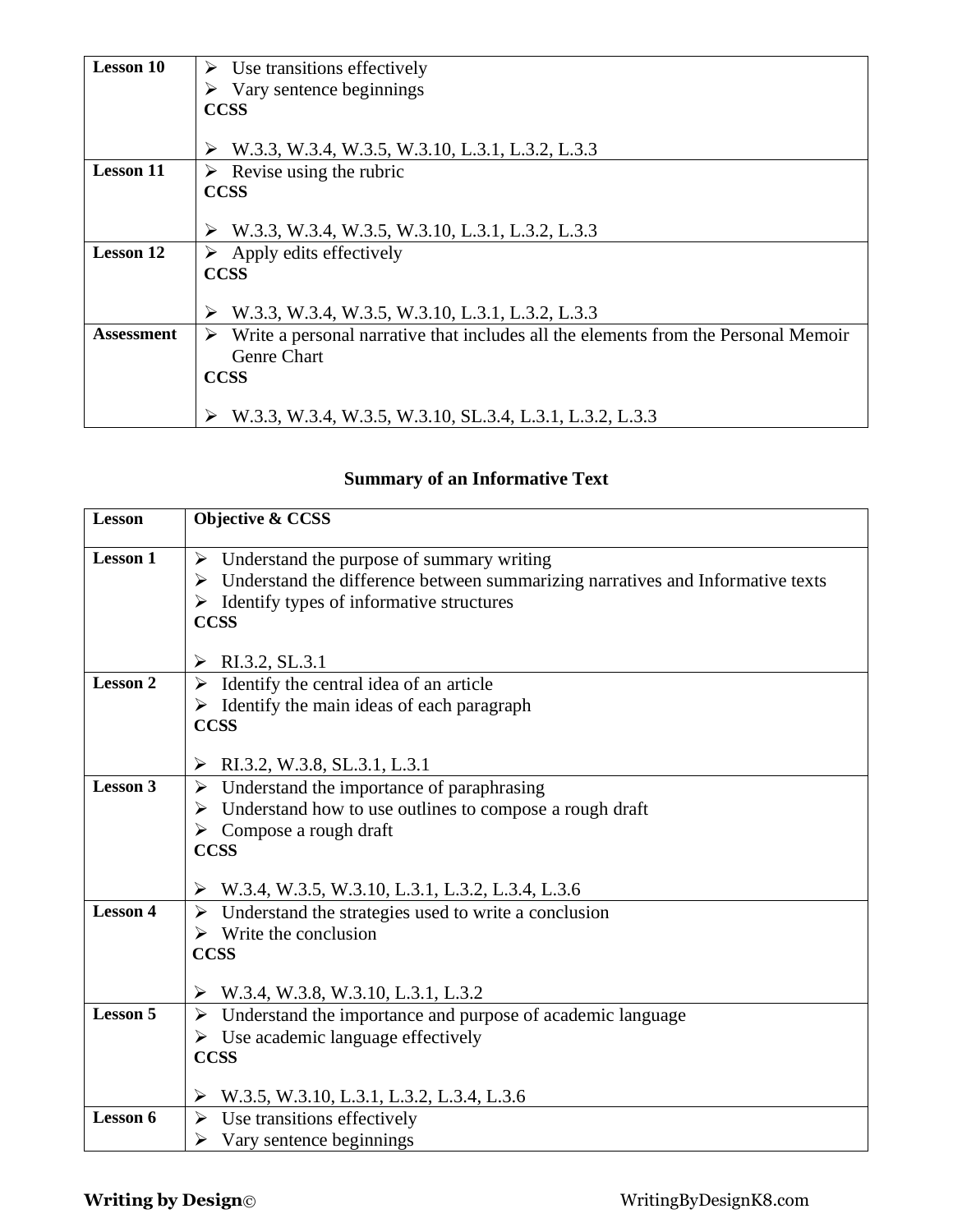| <b>Lesson 10</b>  | Use transitions effectively                                                             |
|-------------------|-----------------------------------------------------------------------------------------|
|                   | $\triangleright$ Vary sentence beginnings                                               |
|                   | <b>CCSS</b>                                                                             |
|                   |                                                                                         |
|                   | W.3.3, W.3.4, W.3.5, W.3.10, L.3.1, L.3.2, L.3.3                                        |
| <b>Lesson 11</b>  | $\triangleright$ Revise using the rubric                                                |
|                   | <b>CCSS</b>                                                                             |
|                   |                                                                                         |
|                   | W.3.3, W.3.4, W.3.5, W.3.10, L.3.1, L.3.2, L.3.3<br>➤                                   |
| <b>Lesson 12</b>  | $\triangleright$ Apply edits effectively                                                |
|                   | <b>CCSS</b>                                                                             |
|                   |                                                                                         |
|                   | W.3.3, W.3.4, W.3.5, W.3.10, L.3.1, L.3.2, L.3.3                                        |
| <b>Assessment</b> | Write a personal narrative that includes all the elements from the Personal Memoir<br>➤ |
|                   | <b>Genre Chart</b>                                                                      |
|                   | <b>CCSS</b>                                                                             |
|                   |                                                                                         |
|                   | W.3.3, W.3.4, W.3.5, W.3.10, SL.3.4, L.3.1, L.3.2, L.3.3                                |

# **Summary of an Informative Text**

| <b>Lesson</b>   | Objective & CCSS                                                                                                                                              |
|-----------------|---------------------------------------------------------------------------------------------------------------------------------------------------------------|
| <b>Lesson 1</b> | $\triangleright$ Understand the purpose of summary writing<br>$\triangleright$ Understand the difference between summarizing narratives and Informative texts |
|                 | $\triangleright$ Identify types of informative structures                                                                                                     |
|                 | <b>CCSS</b>                                                                                                                                                   |
|                 |                                                                                                                                                               |
|                 | RI.3.2, SL.3.1                                                                                                                                                |
| <b>Lesson 2</b> | $\triangleright$ Identify the central idea of an article                                                                                                      |
|                 | $\triangleright$ Identify the main ideas of each paragraph                                                                                                    |
|                 | <b>CCSS</b>                                                                                                                                                   |
|                 | RI.3.2, W.3.8, SL.3.1, L.3.1<br>➤                                                                                                                             |
| <b>Lesson 3</b> | $\triangleright$ Understand the importance of paraphrasing                                                                                                    |
|                 | $\triangleright$ Understand how to use outlines to compose a rough draft                                                                                      |
|                 | $\triangleright$ Compose a rough draft                                                                                                                        |
|                 | <b>CCSS</b>                                                                                                                                                   |
|                 |                                                                                                                                                               |
|                 | $\triangleright$ W.3.4, W.3.5, W.3.10, L.3.1, L.3.2, L.3.4, L.3.6                                                                                             |
| <b>Lesson 4</b> | Understand the strategies used to write a conclusion<br>➤                                                                                                     |
|                 | $\triangleright$ Write the conclusion                                                                                                                         |
|                 | <b>CCSS</b>                                                                                                                                                   |
|                 | $\triangleright$ W.3.4, W.3.8, W.3.10, L.3.1, L.3.2                                                                                                           |
| <b>Lesson 5</b> | Understand the importance and purpose of academic language<br>➤                                                                                               |
|                 | $\triangleright$ Use academic language effectively                                                                                                            |
|                 | <b>CCSS</b>                                                                                                                                                   |
|                 | W.3.5, W.3.10, L.3.1, L.3.2, L.3.4, L.3.6<br>➤                                                                                                                |
| Lesson 6        | Use transitions effectively<br>➤                                                                                                                              |
|                 | Vary sentence beginnings<br>⋗                                                                                                                                 |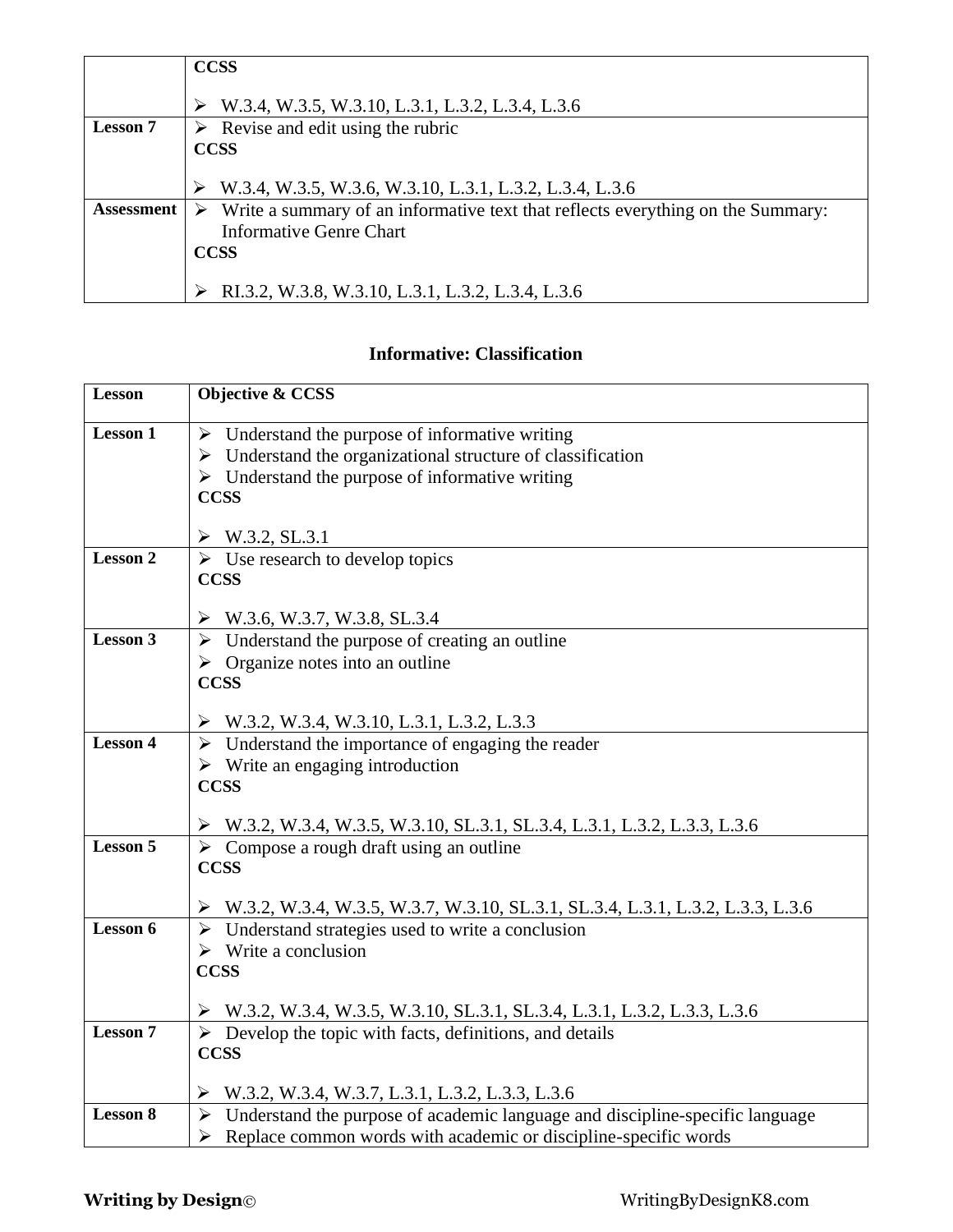|                   | <b>CCSS</b>                                                                     |
|-------------------|---------------------------------------------------------------------------------|
|                   | W.3.4, W.3.5, W.3.10, L.3.1, L.3.2, L.3.4, L.3.6                                |
| <b>Lesson</b> 7   | Revise and edit using the rubric                                                |
|                   | <b>CCSS</b>                                                                     |
|                   |                                                                                 |
|                   | W.3.4, W.3.5, W.3.6, W.3.10, L.3.1, L.3.2, L.3.4, L.3.6                         |
| <b>Assessment</b> | Write a summary of an informative text that reflects everything on the Summary: |
|                   | <b>Informative Genre Chart</b>                                                  |
|                   | <b>CCSS</b>                                                                     |
|                   |                                                                                 |
|                   | RI.3.2, W.3.8, W.3.10, L.3.1, L.3.2, L.3.4, L.3.6                               |

### **Informative: Classification**

| <b>Lesson</b>   | <b>Objective &amp; CCSS</b>                                                                                                                                          |
|-----------------|----------------------------------------------------------------------------------------------------------------------------------------------------------------------|
| <b>Lesson 1</b> | $\triangleright$ Understand the purpose of informative writing                                                                                                       |
|                 | $\triangleright$ Understand the organizational structure of classification                                                                                           |
|                 | $\triangleright$ Understand the purpose of informative writing                                                                                                       |
|                 | <b>CCSS</b>                                                                                                                                                          |
|                 |                                                                                                                                                                      |
|                 | $\triangleright$ W.3.2, SL.3.1                                                                                                                                       |
| <b>Lesson 2</b> | $\triangleright$ Use research to develop topics                                                                                                                      |
|                 | <b>CCSS</b>                                                                                                                                                          |
|                 | $\triangleright$ W.3.6, W.3.7, W.3.8, SL.3.4                                                                                                                         |
| <b>Lesson 3</b> | $\triangleright$ Understand the purpose of creating an outline                                                                                                       |
|                 | $\triangleright$ Organize notes into an outline                                                                                                                      |
|                 | <b>CCSS</b>                                                                                                                                                          |
|                 |                                                                                                                                                                      |
| <b>Lesson 4</b> | $\triangleright$ W.3.2, W.3.4, W.3.10, L.3.1, L.3.2, L.3.3<br>$\triangleright$ Understand the importance of engaging the reader                                      |
|                 | $\triangleright$ Write an engaging introduction                                                                                                                      |
|                 | <b>CCSS</b>                                                                                                                                                          |
|                 |                                                                                                                                                                      |
|                 | $\triangleright$ W.3.2, W.3.4, W.3.5, W.3.10, SL.3.1, SL.3.4, L.3.1, L.3.2, L.3.3, L.3.6                                                                             |
| <b>Lesson 5</b> | $\triangleright$ Compose a rough draft using an outline                                                                                                              |
|                 | <b>CCSS</b>                                                                                                                                                          |
|                 |                                                                                                                                                                      |
| Lesson 6        | $\triangleright$ W.3.2, W.3.4, W.3.5, W.3.7, W.3.10, SL.3.1, SL.3.4, L.3.1, L.3.2, L.3.3, L.3.6<br>$\triangleright$ Understand strategies used to write a conclusion |
|                 | $\triangleright$ Write a conclusion                                                                                                                                  |
|                 | <b>CCSS</b>                                                                                                                                                          |
|                 |                                                                                                                                                                      |
|                 | $\triangleright$ W.3.2, W.3.4, W.3.5, W.3.10, SL.3.1, SL.3.4, L.3.1, L.3.2, L.3.3, L.3.6                                                                             |
| <b>Lesson 7</b> | $\triangleright$ Develop the topic with facts, definitions, and details                                                                                              |
|                 | <b>CCSS</b>                                                                                                                                                          |
|                 |                                                                                                                                                                      |
| <b>Lesson 8</b> | $\triangleright$ W.3.2, W.3.4, W.3.7, L.3.1, L.3.2, L.3.3, L.3.6<br>$\triangleright$ Understand the purpose of academic language and discipline-specific language    |
|                 | $\triangleright$ Replace common words with academic or discipline-specific words                                                                                     |
|                 |                                                                                                                                                                      |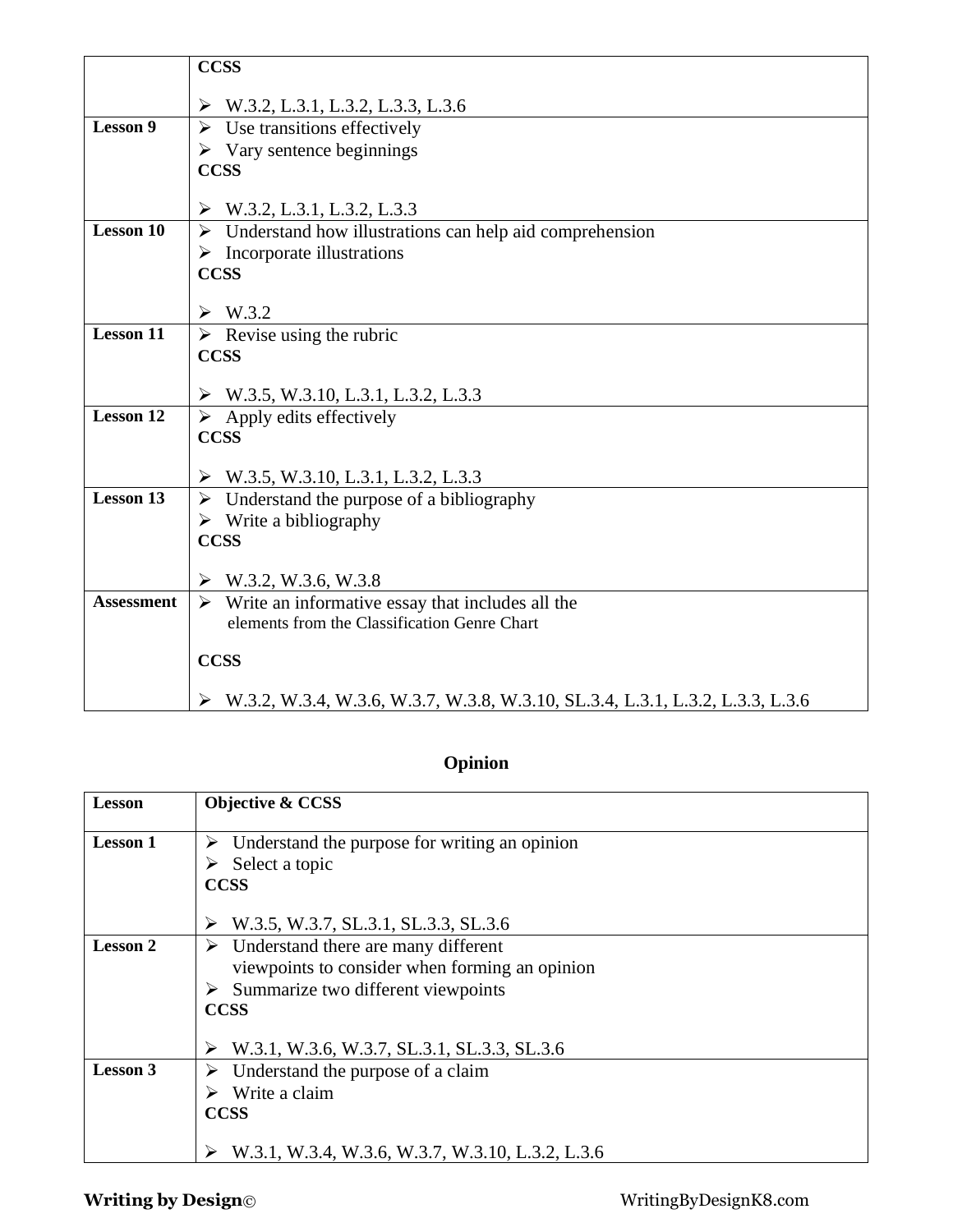|                   | <b>CCSS</b>                                                                   |
|-------------------|-------------------------------------------------------------------------------|
|                   | $\triangleright$ W.3.2, L.3.1, L.3.2, L.3.3, L.3.6                            |
| <b>Lesson 9</b>   | $\triangleright$ Use transitions effectively                                  |
|                   | $\triangleright$ Vary sentence beginnings                                     |
|                   | <b>CCSS</b>                                                                   |
|                   |                                                                               |
|                   | W.3.2, L.3.1, L.3.2, L.3.3<br>➤                                               |
| <b>Lesson 10</b>  | $\triangleright$ Understand how illustrations can help aid comprehension      |
|                   | $\triangleright$ Incorporate illustrations                                    |
|                   | <b>CCSS</b>                                                                   |
|                   |                                                                               |
|                   | $\triangleright$ W.3.2                                                        |
| <b>Lesson 11</b>  | $\triangleright$ Revise using the rubric                                      |
|                   | <b>CCSS</b>                                                                   |
|                   | $\triangleright$ W.3.5, W.3.10, L.3.1, L.3.2, L.3.3                           |
| <b>Lesson 12</b>  | $\triangleright$ Apply edits effectively                                      |
|                   | <b>CCSS</b>                                                                   |
|                   |                                                                               |
|                   | $\triangleright$ W.3.5, W.3.10, L.3.1, L.3.2, L.3.3                           |
| <b>Lesson 13</b>  | $\triangleright$ Understand the purpose of a bibliography                     |
|                   | $\triangleright$ Write a bibliography                                         |
|                   | <b>CCSS</b>                                                                   |
|                   | W.3.2, W.3.6, W.3.8<br>➤                                                      |
| <b>Assessment</b> | $\triangleright$ Write an informative essay that includes all the             |
|                   | elements from the Classification Genre Chart                                  |
|                   |                                                                               |
|                   | <b>CCSS</b>                                                                   |
|                   |                                                                               |
|                   | W.3.2, W.3.4, W.3.6, W.3.7, W.3.8, W.3.10, SL.3.4, L.3.1, L.3.2, L.3.3, L.3.6 |

# **Opinion**

| Understand the purpose for writing an opinion  |
|------------------------------------------------|
|                                                |
|                                                |
| viewpoints to consider when forming an opinion |
| W.3.1, W.3.6, W.3.7, SL.3.1, SL.3.3, SL.3.6    |
|                                                |
|                                                |